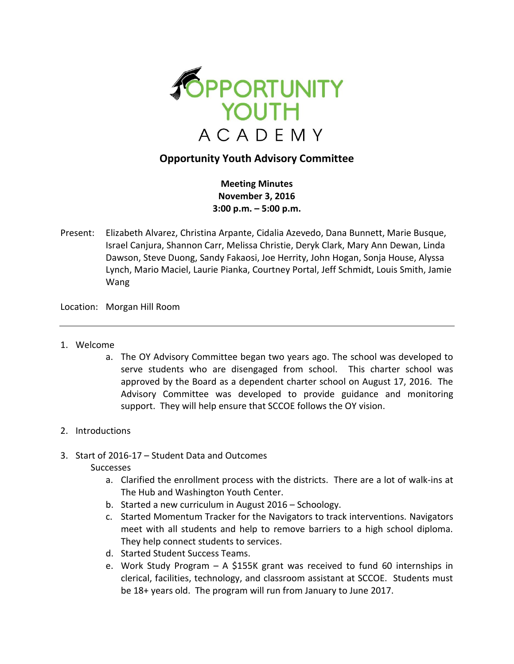

## **Opportunity Youth Advisory Committee**

**Meeting Minutes November 3, 2016 3:00 p.m. – 5:00 p.m.**

Present: Elizabeth Alvarez, Christina Arpante, Cidalia Azevedo, Dana Bunnett, Marie Busque, Israel Canjura, Shannon Carr, Melissa Christie, Deryk Clark, Mary Ann Dewan, Linda Dawson, Steve Duong, Sandy Fakaosi, Joe Herrity, John Hogan, Sonja House, Alyssa Lynch, Mario Maciel, Laurie Pianka, Courtney Portal, Jeff Schmidt, Louis Smith, Jamie Wang

Location: Morgan Hill Room

- 1. Welcome
	- a. The OY Advisory Committee began two years ago. The school was developed to serve students who are disengaged from school. This charter school was approved by the Board as a dependent charter school on August 17, 2016. The Advisory Committee was developed to provide guidance and monitoring support. They will help ensure that SCCOE follows the OY vision.

## 2. Introductions

3. Start of 2016-17 – Student Data and Outcomes

Successes

- a. Clarified the enrollment process with the districts. There are a lot of walk-ins at The Hub and Washington Youth Center.
- b. Started a new curriculum in August 2016 Schoology.
- c. Started Momentum Tracker for the Navigators to track interventions. Navigators meet with all students and help to remove barriers to a high school diploma. They help connect students to services.
- d. Started Student Success Teams.
- e. Work Study Program A \$155K grant was received to fund 60 internships in clerical, facilities, technology, and classroom assistant at SCCOE. Students must be 18+ years old. The program will run from January to June 2017.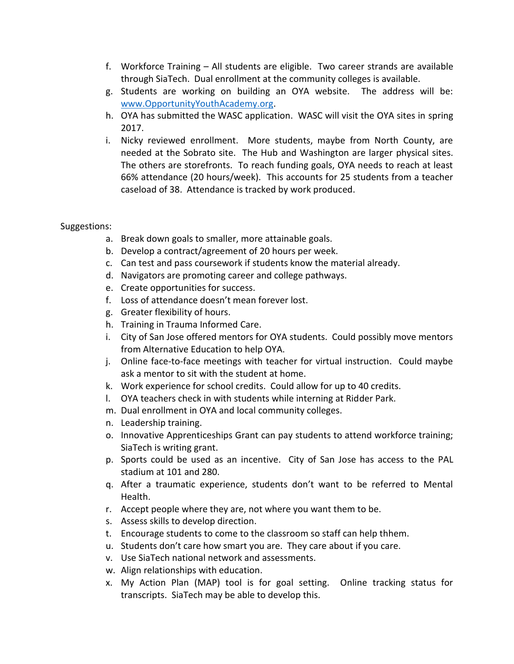- f. Workforce Training All students are eligible. Two career strands are available through SiaTech. Dual enrollment at the community colleges is available.
- g. Students are working on building an OYA website. The address will be: [www.OpportunityYouthAcademy.org.](http://www.opportunityyouthacademy.org/)
- h. OYA has submitted the WASC application. WASC will visit the OYA sites in spring 2017.
- i. Nicky reviewed enrollment. More students, maybe from North County, are needed at the Sobrato site. The Hub and Washington are larger physical sites. The others are storefronts. To reach funding goals, OYA needs to reach at least 66% attendance (20 hours/week). This accounts for 25 students from a teacher caseload of 38. Attendance is tracked by work produced.

## Suggestions:

- a. Break down goals to smaller, more attainable goals.
- b. Develop a contract/agreement of 20 hours per week.
- c. Can test and pass coursework if students know the material already.
- d. Navigators are promoting career and college pathways.
- e. Create opportunities for success.
- f. Loss of attendance doesn't mean forever lost.
- g. Greater flexibility of hours.
- h. Training in Trauma Informed Care.
- i. City of San Jose offered mentors for OYA students. Could possibly move mentors from Alternative Education to help OYA.
- j. Online face-to-face meetings with teacher for virtual instruction. Could maybe ask a mentor to sit with the student at home.
- k. Work experience for school credits. Could allow for up to 40 credits.
- l. OYA teachers check in with students while interning at Ridder Park.
- m. Dual enrollment in OYA and local community colleges.
- n. Leadership training.
- o. Innovative Apprenticeships Grant can pay students to attend workforce training; SiaTech is writing grant.
- p. Sports could be used as an incentive. City of San Jose has access to the PAL stadium at 101 and 280.
- q. After a traumatic experience, students don't want to be referred to Mental Health.
- r. Accept people where they are, not where you want them to be.
- s. Assess skills to develop direction.
- t. Encourage students to come to the classroom so staff can help thhem.
- u. Students don't care how smart you are. They care about if you care.
- v. Use SiaTech national network and assessments.
- w. Align relationships with education.
- x. My Action Plan (MAP) tool is for goal setting. Online tracking status for transcripts. SiaTech may be able to develop this.